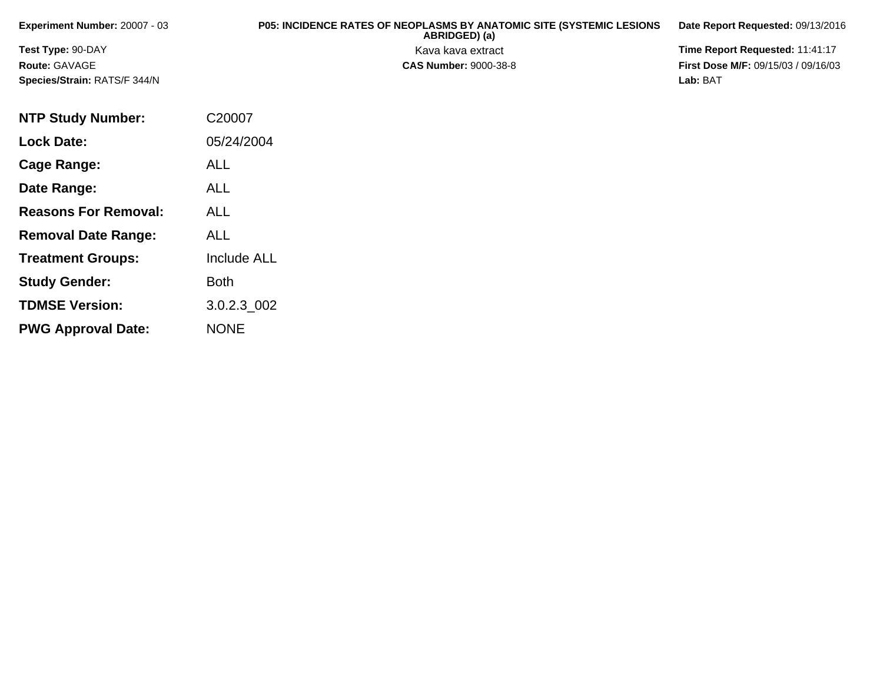| <b>Experiment Number: 20007 - 03</b> | <b>P05: INCIDENCE RATES OF NEOPLASMS BY ANATOMIC SITE (SYSTEMIC LESIONS)</b><br>ABRIDGED) (a) | Date Report Requested: 09/13/2016          |
|--------------------------------------|-----------------------------------------------------------------------------------------------|--------------------------------------------|
| <b>Test Type: 90-DAY</b>             | Kava kava extract                                                                             | Time Report Requested: 11:41:17            |
| Route: GAVAGE                        | <b>CAS Number: 9000-38-8</b>                                                                  | <b>First Dose M/F: 09/15/03 / 09/16/03</b> |
| <b>Species/Strain: RATS/F 344/N</b>  |                                                                                               | Lab: BAT                                   |

| <b>NTP Study Number:</b>    | C20007             |
|-----------------------------|--------------------|
| <b>Lock Date:</b>           | 05/24/2004         |
| Cage Range:                 | ALL                |
| Date Range:                 | <b>ALL</b>         |
| <b>Reasons For Removal:</b> | AI I               |
| <b>Removal Date Range:</b>  | ALL                |
| <b>Treatment Groups:</b>    | <b>Include ALL</b> |
| <b>Study Gender:</b>        | <b>Both</b>        |
| <b>TDMSE Version:</b>       | 3.0.2.3 002        |
| <b>PWG Approval Date:</b>   | <b>NONE</b>        |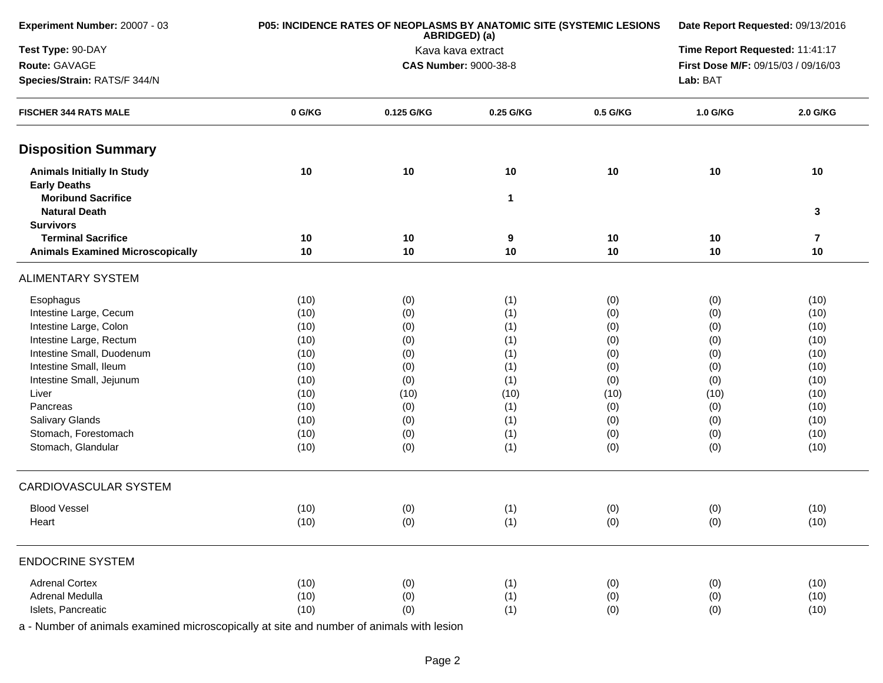| Experiment Number: 20007 - 03                            |        | P05: INCIDENCE RATES OF NEOPLASMS BY ANATOMIC SITE (SYSTEMIC LESIONS<br>ABRIDGED) (a) | Date Report Requested: 09/13/2016 |          |                                     |                         |
|----------------------------------------------------------|--------|---------------------------------------------------------------------------------------|-----------------------------------|----------|-------------------------------------|-------------------------|
| Test Type: 90-DAY                                        |        |                                                                                       | Kava kava extract                 |          | Time Report Requested: 11:41:17     |                         |
| Route: GAVAGE                                            |        |                                                                                       | <b>CAS Number: 9000-38-8</b>      |          | First Dose M/F: 09/15/03 / 09/16/03 |                         |
| Species/Strain: RATS/F 344/N                             |        |                                                                                       | Lab: BAT                          |          |                                     |                         |
| <b>FISCHER 344 RATS MALE</b>                             | 0 G/KG | 0.125 G/KG                                                                            | 0.25 G/KG                         | 0.5 G/KG | 1.0 G/KG                            | 2.0 G/KG                |
| <b>Disposition Summary</b>                               |        |                                                                                       |                                   |          |                                     |                         |
| <b>Animals Initially In Study</b><br><b>Early Deaths</b> | 10     | 10                                                                                    | 10                                | 10       | 10                                  | 10                      |
| <b>Moribund Sacrifice</b><br><b>Natural Death</b>        |        |                                                                                       | $\mathbf 1$                       |          |                                     | 3                       |
| <b>Survivors</b>                                         |        |                                                                                       |                                   |          |                                     |                         |
| <b>Terminal Sacrifice</b>                                | 10     | 10                                                                                    | 9                                 | 10       | 10                                  | $\overline{\mathbf{r}}$ |
| <b>Animals Examined Microscopically</b>                  | 10     | 10                                                                                    | 10                                | 10       | 10                                  | 10                      |
| <b>ALIMENTARY SYSTEM</b>                                 |        |                                                                                       |                                   |          |                                     |                         |
| Esophagus                                                | (10)   | (0)                                                                                   | (1)                               | (0)      | (0)                                 | (10)                    |
| Intestine Large, Cecum                                   | (10)   | (0)                                                                                   | (1)                               | (0)      | (0)                                 | (10)                    |
| Intestine Large, Colon                                   | (10)   | (0)                                                                                   | (1)                               | (0)      | (0)                                 | (10)                    |
| Intestine Large, Rectum                                  | (10)   | (0)                                                                                   | (1)                               | (0)      | (0)                                 | (10)                    |
| Intestine Small, Duodenum                                | (10)   | (0)                                                                                   | (1)                               | (0)      | (0)                                 | (10)                    |
| Intestine Small, Ileum                                   | (10)   | (0)                                                                                   | (1)                               | (0)      | (0)                                 | (10)                    |
| Intestine Small, Jejunum                                 | (10)   | (0)                                                                                   | (1)                               | (0)      | (0)                                 | (10)                    |
| Liver                                                    | (10)   | (10)                                                                                  | (10)                              | (10)     | (10)                                | (10)                    |
| Pancreas                                                 | (10)   | (0)                                                                                   | (1)                               | (0)      | (0)                                 | (10)                    |
| Salivary Glands                                          | (10)   | (0)                                                                                   | (1)                               | (0)      | (0)                                 | (10)                    |
| Stomach, Forestomach                                     | (10)   | (0)                                                                                   | (1)                               | (0)      | (0)                                 | (10)                    |
| Stomach, Glandular                                       | (10)   | (0)                                                                                   | (1)                               | (0)      | (0)                                 | (10)                    |
| <b>CARDIOVASCULAR SYSTEM</b>                             |        |                                                                                       |                                   |          |                                     |                         |
| <b>Blood Vessel</b>                                      | (10)   | (0)                                                                                   | (1)                               | (0)      | (0)                                 | (10)                    |
| Heart                                                    | (10)   | (0)                                                                                   | (1)                               | (0)      | (0)                                 | (10)                    |
| <b>ENDOCRINE SYSTEM</b>                                  |        |                                                                                       |                                   |          |                                     |                         |
| <b>Adrenal Cortex</b>                                    | (10)   | (0)                                                                                   | (1)                               | (0)      | (0)                                 | (10)                    |
| Adrenal Medulla                                          | (10)   | (0)                                                                                   | (1)                               | (0)      | (0)                                 | (10)                    |
| Islets, Pancreatic                                       | (10)   | (0)                                                                                   | (1)                               | (0)      | (0)                                 | (10)                    |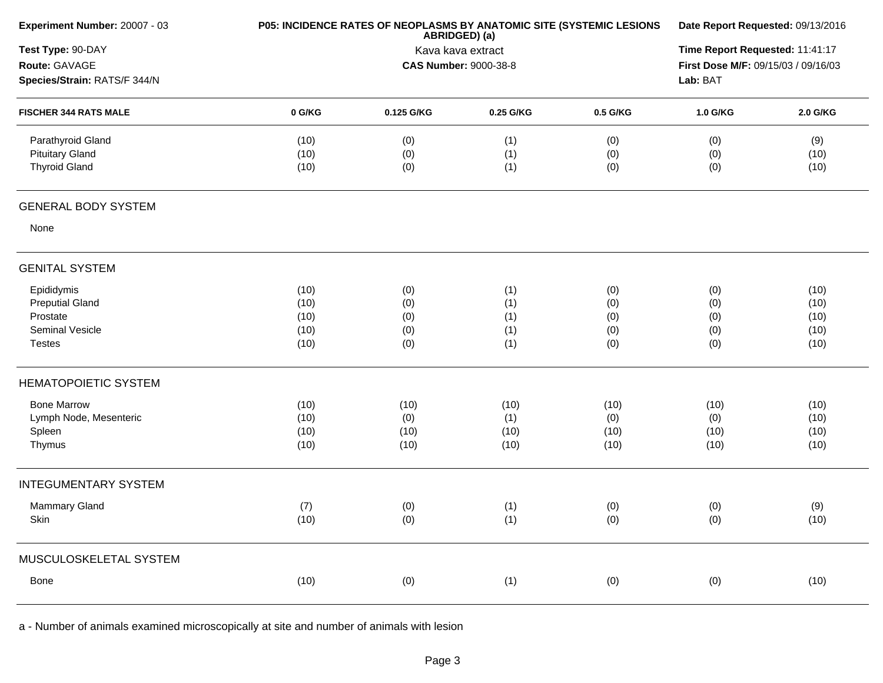| Experiment Number: 20007 - 03 |        | P05: INCIDENCE RATES OF NEOPLASMS BY ANATOMIC SITE (SYSTEMIC LESIONS<br>ABRIDGED) (a) | Date Report Requested: 09/13/2016 |          |                                     |          |  |  |
|-------------------------------|--------|---------------------------------------------------------------------------------------|-----------------------------------|----------|-------------------------------------|----------|--|--|
| Test Type: 90-DAY             |        |                                                                                       | Kava kava extract                 |          | Time Report Requested: 11:41:17     |          |  |  |
| Route: GAVAGE                 |        |                                                                                       | <b>CAS Number: 9000-38-8</b>      |          | First Dose M/F: 09/15/03 / 09/16/03 |          |  |  |
| Species/Strain: RATS/F 344/N  |        |                                                                                       |                                   |          |                                     |          |  |  |
| <b>FISCHER 344 RATS MALE</b>  | 0 G/KG | 0.125 G/KG                                                                            | 0.25 G/KG                         | 0.5 G/KG | 1.0 G/KG                            | 2.0 G/KG |  |  |
| Parathyroid Gland             | (10)   | (0)                                                                                   | (1)                               | (0)      | (0)                                 | (9)      |  |  |
| <b>Pituitary Gland</b>        | (10)   | (0)                                                                                   | (1)                               | (0)      | (0)                                 | (10)     |  |  |
| <b>Thyroid Gland</b>          | (10)   | (0)                                                                                   | (1)                               | (0)      | (0)                                 | (10)     |  |  |
| <b>GENERAL BODY SYSTEM</b>    |        |                                                                                       |                                   |          |                                     |          |  |  |
| None                          |        |                                                                                       |                                   |          |                                     |          |  |  |
| <b>GENITAL SYSTEM</b>         |        |                                                                                       |                                   |          |                                     |          |  |  |
| Epididymis                    | (10)   | (0)                                                                                   | (1)                               | (0)      | (0)                                 | (10)     |  |  |
| <b>Preputial Gland</b>        | (10)   | (0)                                                                                   | (1)                               | (0)      | (0)                                 | (10)     |  |  |
| Prostate                      | (10)   | (0)                                                                                   | (1)                               | (0)      | (0)                                 | (10)     |  |  |
| Seminal Vesicle               | (10)   | (0)                                                                                   | (1)                               | (0)      | (0)                                 | (10)     |  |  |
| <b>Testes</b>                 | (10)   | (0)                                                                                   | (1)                               | (0)      | (0)                                 | (10)     |  |  |
| <b>HEMATOPOIETIC SYSTEM</b>   |        |                                                                                       |                                   |          |                                     |          |  |  |
| <b>Bone Marrow</b>            | (10)   | (10)                                                                                  | (10)                              | (10)     | (10)                                | (10)     |  |  |
| Lymph Node, Mesenteric        | (10)   | (0)                                                                                   | (1)                               | (0)      | (0)                                 | (10)     |  |  |
| Spleen                        | (10)   | (10)                                                                                  | (10)                              | (10)     | (10)                                | (10)     |  |  |
| Thymus                        | (10)   | (10)                                                                                  | (10)                              | (10)     | (10)                                | (10)     |  |  |
| <b>INTEGUMENTARY SYSTEM</b>   |        |                                                                                       |                                   |          |                                     |          |  |  |
| Mammary Gland                 | (7)    | (0)                                                                                   | (1)                               | (0)      | (0)                                 | (9)      |  |  |
| Skin                          | (10)   | (0)                                                                                   | (1)                               | (0)      | (0)                                 | (10)     |  |  |
| MUSCULOSKELETAL SYSTEM        |        |                                                                                       |                                   |          |                                     |          |  |  |
| Bone                          | (10)   | (0)                                                                                   | (1)                               | (0)      | (0)                                 | (10)     |  |  |
|                               |        |                                                                                       |                                   |          |                                     |          |  |  |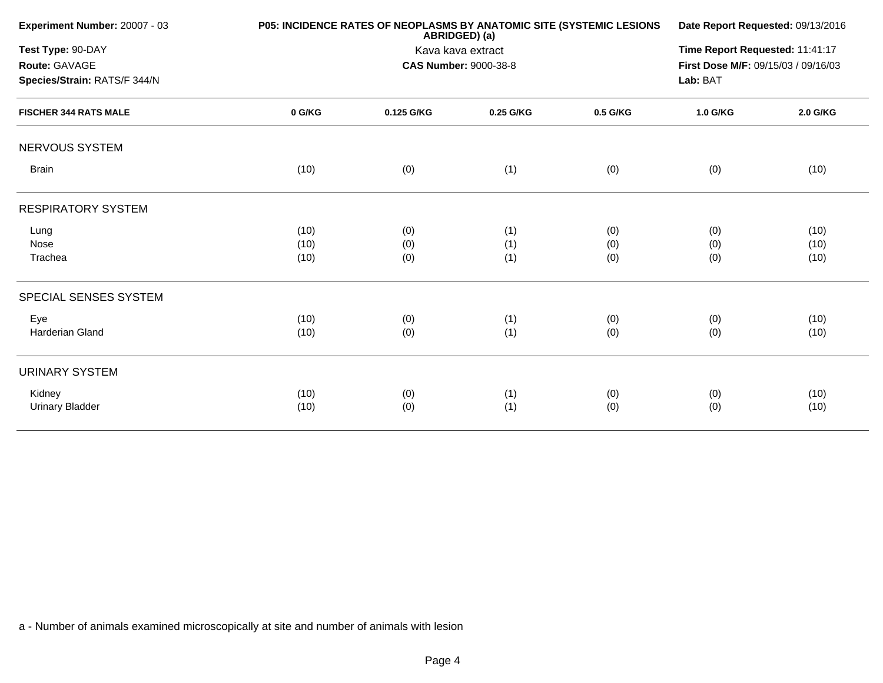| Experiment Number: 20007 - 03 |        | P05: INCIDENCE RATES OF NEOPLASMS BY ANATOMIC SITE (SYSTEMIC LESIONS<br>ABRIDGED) (a) |                              |          |                                     |          |  |
|-------------------------------|--------|---------------------------------------------------------------------------------------|------------------------------|----------|-------------------------------------|----------|--|
| Test Type: 90-DAY             |        | Kava kava extract                                                                     |                              |          |                                     |          |  |
| Route: GAVAGE                 |        |                                                                                       | <b>CAS Number: 9000-38-8</b> |          | First Dose M/F: 09/15/03 / 09/16/03 |          |  |
| Species/Strain: RATS/F 344/N  |        |                                                                                       |                              |          | Lab: BAT                            |          |  |
| <b>FISCHER 344 RATS MALE</b>  | 0 G/KG | 0.125 G/KG                                                                            | 0.25 G/KG                    | 0.5 G/KG | 1.0 G/KG                            | 2.0 G/KG |  |
| NERVOUS SYSTEM                |        |                                                                                       |                              |          |                                     |          |  |
| <b>Brain</b>                  | (10)   | (0)                                                                                   | (1)                          | (0)      | (0)                                 | (10)     |  |
| <b>RESPIRATORY SYSTEM</b>     |        |                                                                                       |                              |          |                                     |          |  |
| Lung                          | (10)   | (0)                                                                                   | (1)                          | (0)      | (0)                                 | (10)     |  |
| Nose                          | (10)   | (0)                                                                                   | (1)                          | (0)      | (0)                                 | (10)     |  |
| Trachea                       | (10)   | (0)                                                                                   | (1)                          | (0)      | (0)                                 | (10)     |  |
| SPECIAL SENSES SYSTEM         |        |                                                                                       |                              |          |                                     |          |  |
| Eye                           | (10)   | (0)                                                                                   | (1)                          | (0)      | (0)                                 | (10)     |  |
| Harderian Gland               | (10)   | (0)                                                                                   | (1)                          | (0)      | (0)                                 | (10)     |  |
| <b>URINARY SYSTEM</b>         |        |                                                                                       |                              |          |                                     |          |  |
| Kidney                        | (10)   | (0)                                                                                   | (1)                          | (0)      | (0)                                 | (10)     |  |
| Urinary Bladder               | (10)   | (0)                                                                                   | (1)                          | (0)      | (0)                                 | (10)     |  |
|                               |        |                                                                                       |                              |          |                                     |          |  |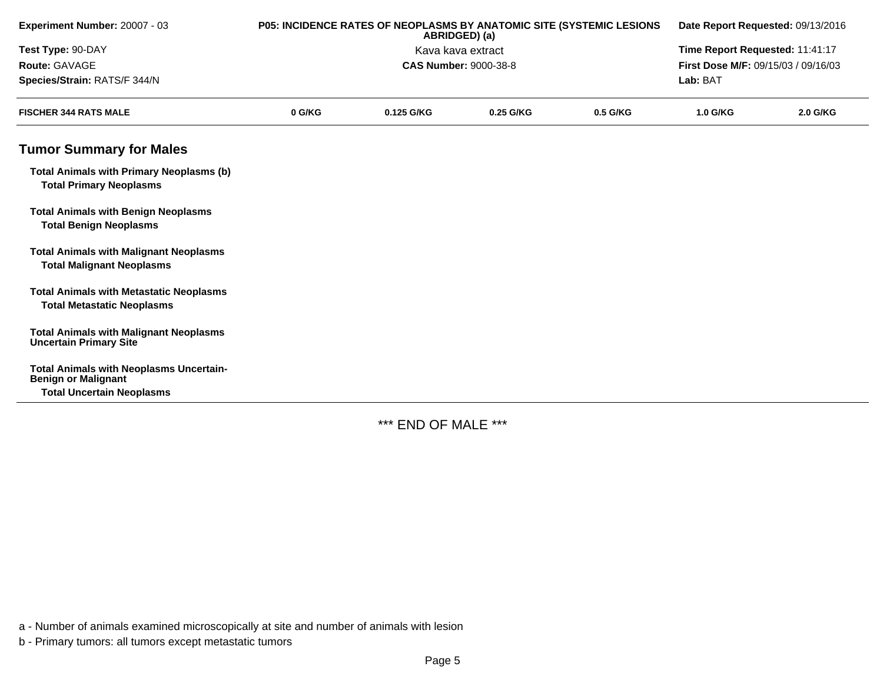| Experiment Number: 20007 - 03                                                       | P05: INCIDENCE RATES OF NEOPLASMS BY ANATOMIC SITE (SYSTEMIC LESIONS<br>ABRIDGED) (a) |                   |                                 | Date Report Requested: 09/13/2016 |                                     |          |  |
|-------------------------------------------------------------------------------------|---------------------------------------------------------------------------------------|-------------------|---------------------------------|-----------------------------------|-------------------------------------|----------|--|
| Test Type: 90-DAY                                                                   |                                                                                       | Kava kava extract | Time Report Requested: 11:41:17 |                                   |                                     |          |  |
| Route: GAVAGE                                                                       |                                                                                       |                   | <b>CAS Number: 9000-38-8</b>    |                                   | First Dose M/F: 09/15/03 / 09/16/03 |          |  |
| Species/Strain: RATS/F 344/N                                                        |                                                                                       |                   |                                 |                                   | Lab: BAT                            |          |  |
| <b>FISCHER 344 RATS MALE</b>                                                        | 0 G/KG                                                                                | 0.125 G/KG        | 0.25 G/KG                       | 0.5 G/KG                          | 1.0 G/KG                            | 2.0 G/KG |  |
| <b>Tumor Summary for Males</b>                                                      |                                                                                       |                   |                                 |                                   |                                     |          |  |
| <b>Total Animals with Primary Neoplasms (b)</b><br><b>Total Primary Neoplasms</b>   |                                                                                       |                   |                                 |                                   |                                     |          |  |
| <b>Total Animals with Benign Neoplasms</b><br><b>Total Benign Neoplasms</b>         |                                                                                       |                   |                                 |                                   |                                     |          |  |
| <b>Total Animals with Malignant Neoplasms</b><br><b>Total Malignant Neoplasms</b>   |                                                                                       |                   |                                 |                                   |                                     |          |  |
| <b>Total Animals with Metastatic Neoplasms</b><br><b>Total Metastatic Neoplasms</b> |                                                                                       |                   |                                 |                                   |                                     |          |  |
| <b>Total Animals with Malignant Neoplasms</b><br><b>Uncertain Primary Site</b>      |                                                                                       |                   |                                 |                                   |                                     |          |  |
| <b>Total Animals with Neoplasms Uncertain-</b><br><b>Benign or Malignant</b>        |                                                                                       |                   |                                 |                                   |                                     |          |  |
| <b>Total Uncertain Neoplasms</b>                                                    |                                                                                       |                   |                                 |                                   |                                     |          |  |

\*\*\* END OF MALE \*\*\*

a - Number of animals examined microscopically at site and number of animals with lesion

b - Primary tumors: all tumors except metastatic tumors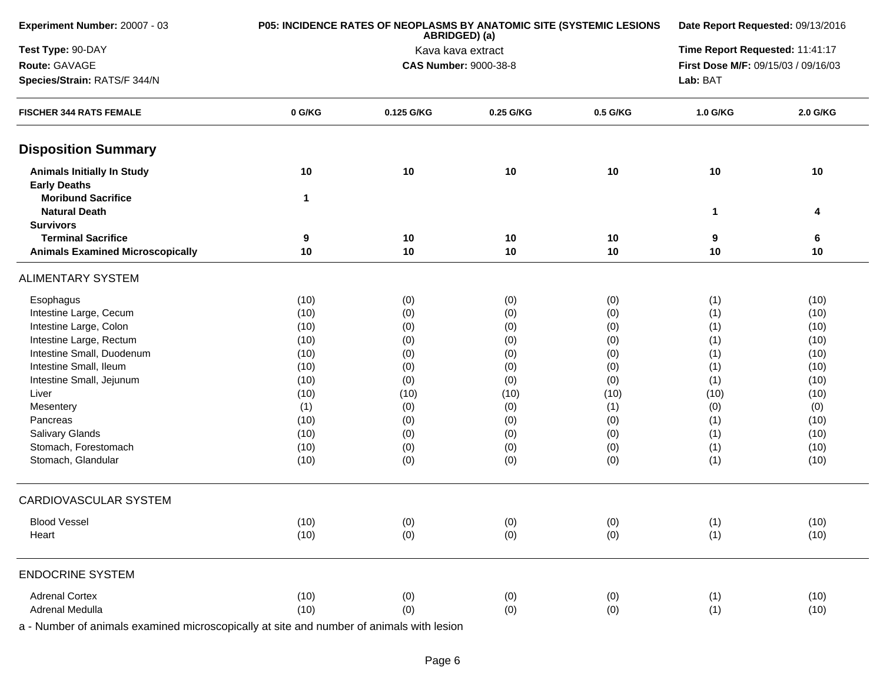| Experiment Number: 20007 - 03                            |                  | P05: INCIDENCE RATES OF NEOPLASMS BY ANATOMIC SITE (SYSTEMIC LESIONS<br>ABRIDGED) (a) | Date Report Requested: 09/13/2016 |          |                                 |                                                                                                                                                                                                                                  |  |  |
|----------------------------------------------------------|------------------|---------------------------------------------------------------------------------------|-----------------------------------|----------|---------------------------------|----------------------------------------------------------------------------------------------------------------------------------------------------------------------------------------------------------------------------------|--|--|
| Test Type: 90-DAY                                        |                  |                                                                                       | Kava kava extract                 |          | Time Report Requested: 11:41:17 |                                                                                                                                                                                                                                  |  |  |
| Route: GAVAGE                                            |                  |                                                                                       | <b>CAS Number: 9000-38-8</b>      |          |                                 | First Dose M/F: 09/15/03 / 09/16/03<br>1.0 G/KG<br>2.0 G/KG<br>10<br>10<br>1<br>4<br>9<br>6<br>10<br>10<br>(10)<br>(1)<br>(1)<br>(10)<br>(1)<br>(10)<br>(1)<br>(10)<br>(1)<br>(10)<br>(1)<br>(10)<br>(1)<br>(10)<br>(10)<br>(10) |  |  |
| Species/Strain: RATS/F 344/N                             |                  |                                                                                       |                                   |          | Lab: BAT                        |                                                                                                                                                                                                                                  |  |  |
| <b>FISCHER 344 RATS FEMALE</b>                           | 0 G/KG           | 0.125 G/KG                                                                            | 0.25 G/KG                         | 0.5 G/KG |                                 |                                                                                                                                                                                                                                  |  |  |
| <b>Disposition Summary</b>                               |                  |                                                                                       |                                   |          |                                 |                                                                                                                                                                                                                                  |  |  |
| <b>Animals Initially In Study</b><br><b>Early Deaths</b> | 10               | 10                                                                                    | 10                                | 10       |                                 |                                                                                                                                                                                                                                  |  |  |
| <b>Moribund Sacrifice</b><br><b>Natural Death</b>        | $\mathbf 1$      |                                                                                       |                                   |          |                                 |                                                                                                                                                                                                                                  |  |  |
| <b>Survivors</b>                                         |                  |                                                                                       |                                   |          |                                 |                                                                                                                                                                                                                                  |  |  |
| <b>Terminal Sacrifice</b>                                | $\boldsymbol{9}$ | 10                                                                                    | 10                                | 10       |                                 |                                                                                                                                                                                                                                  |  |  |
| <b>Animals Examined Microscopically</b>                  | 10               | 10                                                                                    | 10                                | 10       |                                 |                                                                                                                                                                                                                                  |  |  |
| <b>ALIMENTARY SYSTEM</b>                                 |                  |                                                                                       |                                   |          |                                 |                                                                                                                                                                                                                                  |  |  |
| Esophagus                                                | (10)             | (0)                                                                                   | (0)                               | (0)      |                                 |                                                                                                                                                                                                                                  |  |  |
| Intestine Large, Cecum                                   | (10)             | (0)                                                                                   | (0)                               | (0)      |                                 |                                                                                                                                                                                                                                  |  |  |
| Intestine Large, Colon                                   | (10)             | (0)                                                                                   | (0)                               | (0)      |                                 |                                                                                                                                                                                                                                  |  |  |
| Intestine Large, Rectum                                  | (10)             | (0)                                                                                   | (0)                               | (0)      |                                 |                                                                                                                                                                                                                                  |  |  |
| Intestine Small, Duodenum                                | (10)             | (0)                                                                                   | (0)                               | (0)      |                                 |                                                                                                                                                                                                                                  |  |  |
| Intestine Small, Ileum                                   | (10)             | (0)                                                                                   | (0)                               | (0)      |                                 |                                                                                                                                                                                                                                  |  |  |
| Intestine Small, Jejunum                                 | (10)             | (0)                                                                                   | (0)                               | (0)      |                                 |                                                                                                                                                                                                                                  |  |  |
| Liver                                                    | (10)             | (10)                                                                                  | (10)                              | (10)     |                                 |                                                                                                                                                                                                                                  |  |  |
| Mesentery                                                | (1)              | (0)                                                                                   | (0)                               | (1)      | (0)                             | (0)                                                                                                                                                                                                                              |  |  |
| Pancreas                                                 | (10)             | (0)                                                                                   | (0)                               | (0)      | (1)                             | (10)                                                                                                                                                                                                                             |  |  |
| <b>Salivary Glands</b>                                   | (10)             | (0)                                                                                   | (0)                               | (0)      | (1)                             | (10)                                                                                                                                                                                                                             |  |  |
| Stomach, Forestomach                                     | (10)             | (0)                                                                                   | (0)                               | (0)      | (1)                             | (10)                                                                                                                                                                                                                             |  |  |
| Stomach, Glandular                                       | (10)             | (0)                                                                                   | (0)                               | (0)      | (1)                             | (10)                                                                                                                                                                                                                             |  |  |
| <b>CARDIOVASCULAR SYSTEM</b>                             |                  |                                                                                       |                                   |          |                                 |                                                                                                                                                                                                                                  |  |  |
| <b>Blood Vessel</b>                                      | (10)             | (0)                                                                                   | (0)                               | (0)      | (1)                             | (10)                                                                                                                                                                                                                             |  |  |
| Heart                                                    | (10)             | (0)                                                                                   | (0)                               | (0)      | (1)                             | (10)                                                                                                                                                                                                                             |  |  |
| <b>ENDOCRINE SYSTEM</b>                                  |                  |                                                                                       |                                   |          |                                 |                                                                                                                                                                                                                                  |  |  |
| <b>Adrenal Cortex</b>                                    | (10)             | (0)                                                                                   | (0)                               | (0)      | (1)                             | (10)                                                                                                                                                                                                                             |  |  |
| <b>Adrenal Medulla</b>                                   | (10)             | (0)                                                                                   | (0)                               | (0)      | (1)                             | (10)                                                                                                                                                                                                                             |  |  |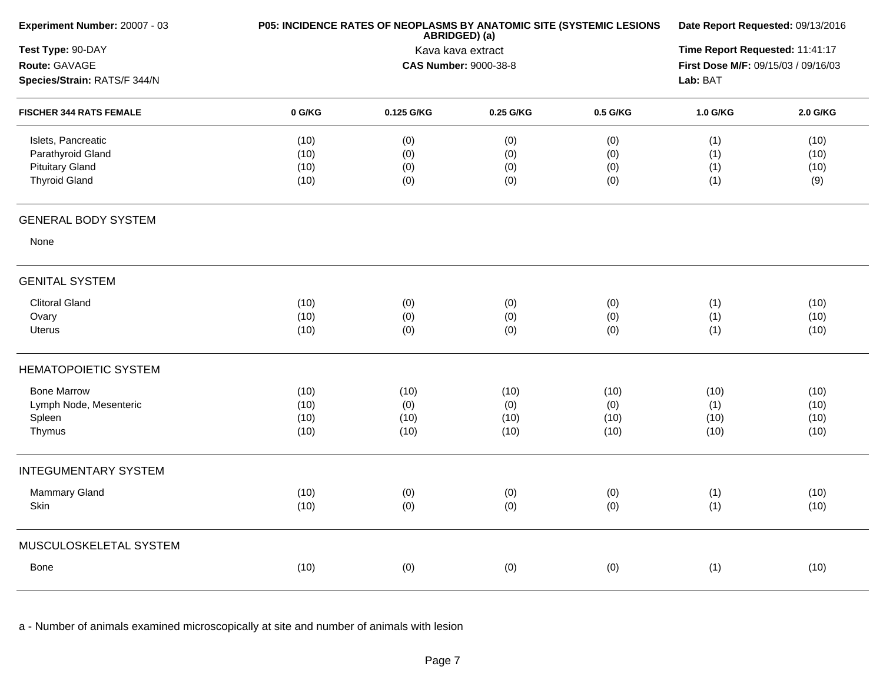| Experiment Number: 20007 - 03                                                             | P05: INCIDENCE RATES OF NEOPLASMS BY ANATOMIC SITE (SYSTEMIC LESIONS | Date Report Requested: 09/13/2016<br>Time Report Requested: 11:41:17<br>First Dose M/F: 09/15/03 / 09/16/03<br>Lab: BAT |                             |                             |                             |                              |
|-------------------------------------------------------------------------------------------|----------------------------------------------------------------------|-------------------------------------------------------------------------------------------------------------------------|-----------------------------|-----------------------------|-----------------------------|------------------------------|
| Test Type: 90-DAY<br>Route: GAVAGE<br>Species/Strain: RATS/F 344/N                        |                                                                      |                                                                                                                         |                             |                             |                             |                              |
| <b>FISCHER 344 RATS FEMALE</b>                                                            | 0 G/KG                                                               | 0.125 G/KG                                                                                                              | 0.25 G/KG                   | 0.5 G/KG                    | 1.0 G/KG                    | 2.0 G/KG                     |
| Islets, Pancreatic<br>Parathyroid Gland<br><b>Pituitary Gland</b><br><b>Thyroid Gland</b> | (10)<br>(10)<br>(10)<br>(10)                                         | (0)<br>(0)<br>(0)<br>(0)                                                                                                | (0)<br>(0)<br>(0)<br>(0)    | (0)<br>(0)<br>(0)<br>(0)    | (1)<br>(1)<br>(1)<br>(1)    | (10)<br>(10)<br>(10)<br>(9)  |
| <b>GENERAL BODY SYSTEM</b>                                                                |                                                                      |                                                                                                                         |                             |                             |                             |                              |
| None                                                                                      |                                                                      |                                                                                                                         |                             |                             |                             |                              |
| <b>GENITAL SYSTEM</b>                                                                     |                                                                      |                                                                                                                         |                             |                             |                             |                              |
| <b>Clitoral Gland</b><br>Ovary<br>Uterus                                                  | (10)<br>(10)<br>(10)                                                 | (0)<br>(0)<br>(0)                                                                                                       | (0)<br>(0)<br>(0)           | (0)<br>(0)<br>(0)           | (1)<br>(1)<br>(1)           | (10)<br>(10)<br>(10)         |
| <b>HEMATOPOIETIC SYSTEM</b>                                                               |                                                                      |                                                                                                                         |                             |                             |                             |                              |
| <b>Bone Marrow</b><br>Lymph Node, Mesenteric<br>Spleen<br>Thymus                          | (10)<br>(10)<br>(10)<br>(10)                                         | (10)<br>(0)<br>(10)<br>(10)                                                                                             | (10)<br>(0)<br>(10)<br>(10) | (10)<br>(0)<br>(10)<br>(10) | (10)<br>(1)<br>(10)<br>(10) | (10)<br>(10)<br>(10)<br>(10) |
| <b>INTEGUMENTARY SYSTEM</b>                                                               |                                                                      |                                                                                                                         |                             |                             |                             |                              |
| Mammary Gland<br>Skin                                                                     | (10)<br>(10)                                                         | (0)<br>(0)                                                                                                              | (0)<br>(0)                  | (0)<br>(0)                  | (1)<br>(1)                  | (10)<br>(10)                 |
| MUSCULOSKELETAL SYSTEM                                                                    |                                                                      |                                                                                                                         |                             |                             |                             |                              |
| Bone                                                                                      | (10)                                                                 | (0)                                                                                                                     | (0)                         | (0)                         | (1)                         | (10)                         |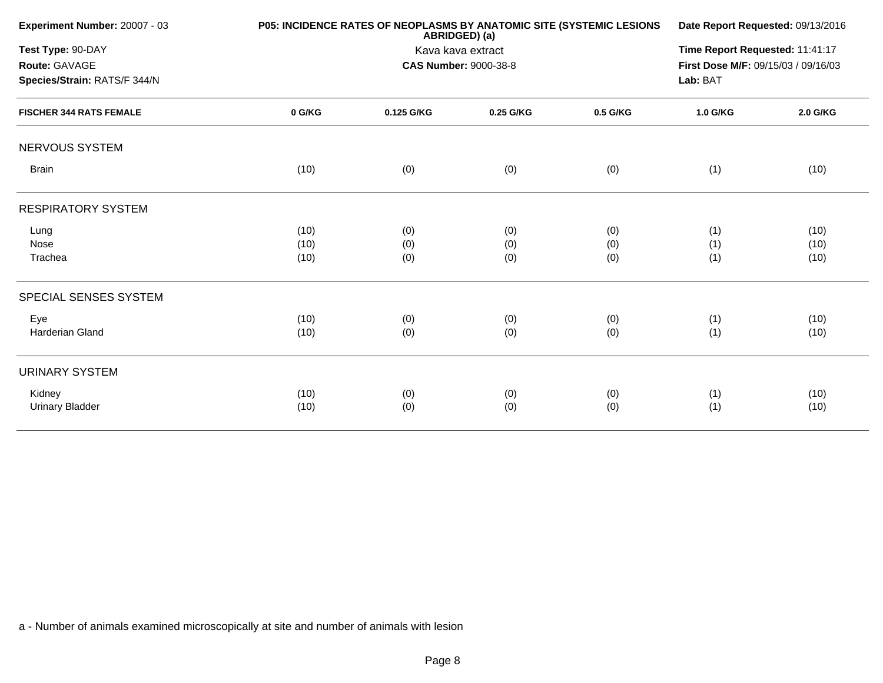| Experiment Number: 20007 - 03                                      |        | P05: INCIDENCE RATES OF NEOPLASMS BY ANATOMIC SITE (SYSTEMIC LESIONS<br>ABRIDGED) (a) | Date Report Requested: 09/13/2016 |          |          |          |
|--------------------------------------------------------------------|--------|---------------------------------------------------------------------------------------|-----------------------------------|----------|----------|----------|
| Test Type: 90-DAY<br>Route: GAVAGE<br>Species/Strain: RATS/F 344/N |        | Kava kava extract<br><b>CAS Number: 9000-38-8</b>                                     |                                   |          |          |          |
| <b>FISCHER 344 RATS FEMALE</b>                                     | 0 G/KG | 0.125 G/KG                                                                            | 0.25 G/KG                         | 0.5 G/KG | 1.0 G/KG | 2.0 G/KG |
| NERVOUS SYSTEM                                                     |        |                                                                                       |                                   |          |          |          |
| <b>Brain</b>                                                       | (10)   | (0)                                                                                   | (0)                               | (0)      | (1)      | (10)     |
| <b>RESPIRATORY SYSTEM</b>                                          |        |                                                                                       |                                   |          |          |          |
| Lung                                                               | (10)   | (0)                                                                                   | (0)                               | (0)      | (1)      | (10)     |
| Nose                                                               | (10)   | (0)                                                                                   | (0)                               | (0)      | (1)      | (10)     |
| Trachea                                                            | (10)   | (0)                                                                                   | (0)                               | (0)      | (1)      | (10)     |
| SPECIAL SENSES SYSTEM                                              |        |                                                                                       |                                   |          |          |          |
| Eye                                                                | (10)   | (0)                                                                                   | (0)                               | (0)      | (1)      | (10)     |
| Harderian Gland                                                    | (10)   | (0)                                                                                   | (0)                               | (0)      | (1)      | (10)     |
| <b>URINARY SYSTEM</b>                                              |        |                                                                                       |                                   |          |          |          |
| Kidney                                                             | (10)   | (0)                                                                                   | (0)                               | (0)      | (1)      | (10)     |
| <b>Urinary Bladder</b>                                             | (10)   | (0)                                                                                   | (0)                               | (0)      | (1)      | (10)     |
|                                                                    |        |                                                                                       |                                   |          |          |          |